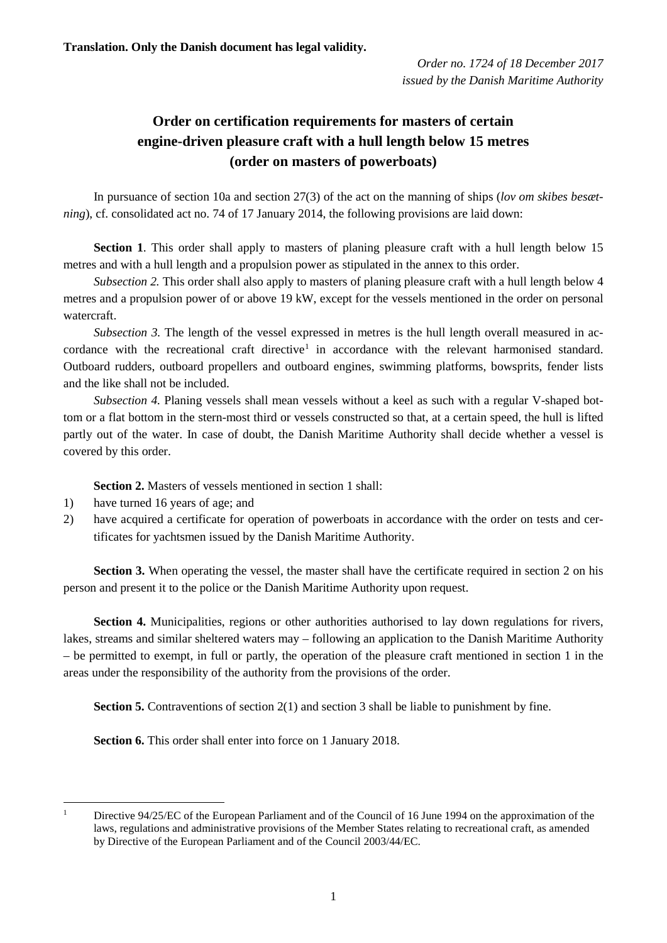*Order no. 1724 of 18 December 2017 issued by the Danish Maritime Authority*

## **Order on certification requirements for masters of certain engine-driven pleasure craft with a hull length below 15 metres (order on masters of powerboats)**

In pursuance of section 10a and section 27(3) of the act on the manning of ships (*lov om skibes besætning*), cf. consolidated act no. 74 of 17 January 2014, the following provisions are laid down:

**Section 1.** This order shall apply to masters of planing pleasure craft with a hull length below 15 metres and with a hull length and a propulsion power as stipulated in the annex to this order.

*Subsection 2.* This order shall also apply to masters of planing pleasure craft with a hull length below 4 metres and a propulsion power of or above 19 kW, except for the vessels mentioned in the order on personal watercraft.

*Subsection 3.* The length of the vessel expressed in metres is the hull length overall measured in ac-cordance with the recreational craft directive<sup>[1](#page-0-0)</sup> in accordance with the relevant harmonised standard. Outboard rudders, outboard propellers and outboard engines, swimming platforms, bowsprits, fender lists and the like shall not be included.

*Subsection 4.* Planing vessels shall mean vessels without a keel as such with a regular V-shaped bottom or a flat bottom in the stern-most third or vessels constructed so that, at a certain speed, the hull is lifted partly out of the water. In case of doubt, the Danish Maritime Authority shall decide whether a vessel is covered by this order.

**Section 2.** Masters of vessels mentioned in section 1 shall:

- 1) have turned 16 years of age; and
- 2) have acquired a certificate for operation of powerboats in accordance with the order on tests and certificates for yachtsmen issued by the Danish Maritime Authority.

**Section 3.** When operating the vessel, the master shall have the certificate required in section 2 on his person and present it to the police or the Danish Maritime Authority upon request.

**Section 4.** Municipalities, regions or other authorities authorised to lay down regulations for rivers, lakes, streams and similar sheltered waters may – following an application to the Danish Maritime Authority – be permitted to exempt, in full or partly, the operation of the pleasure craft mentioned in section 1 in the areas under the responsibility of the authority from the provisions of the order.

**Section 5.** Contraventions of section 2(1) and section 3 shall be liable to punishment by fine.

**Section 6.** This order shall enter into force on 1 January 2018.

<span id="page-0-0"></span><sup>&</sup>lt;sup>1</sup> Directive 94/25/EC of the European Parliament and of the Council of 16 June 1994 on the approximation of the laws, regulations and administrative provisions of the Member States relating to recreational craft, as amended by Directive of the European Parliament and of the Council 2003/44/EC.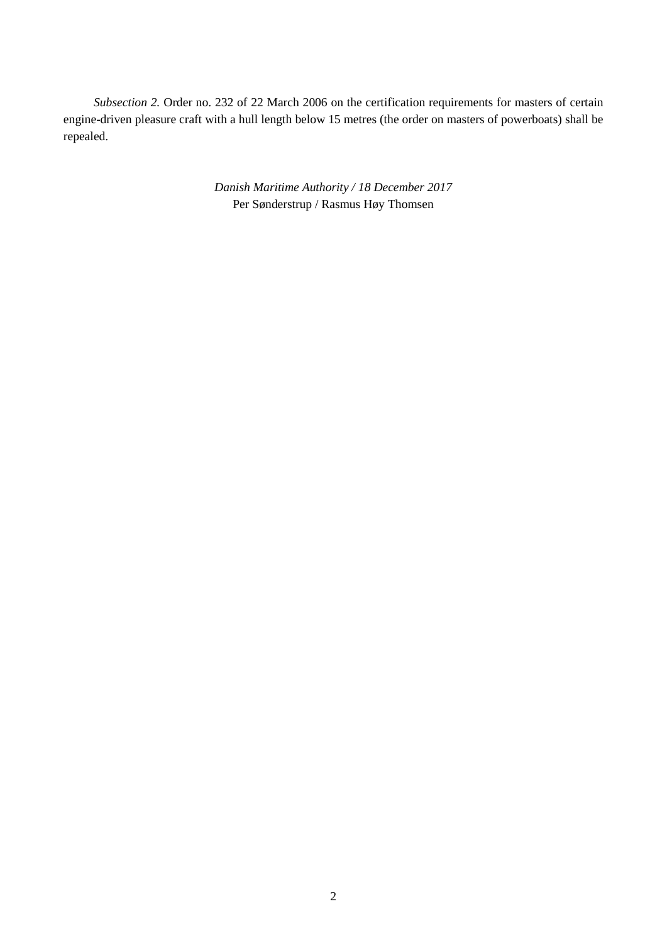*Subsection 2.* Order no. 232 of 22 March 2006 on the certification requirements for masters of certain engine-driven pleasure craft with a hull length below 15 metres (the order on masters of powerboats) shall be repealed.

> *Danish Maritime Authority / 18 December 2017* Per Sønderstrup / Rasmus Høy Thomsen